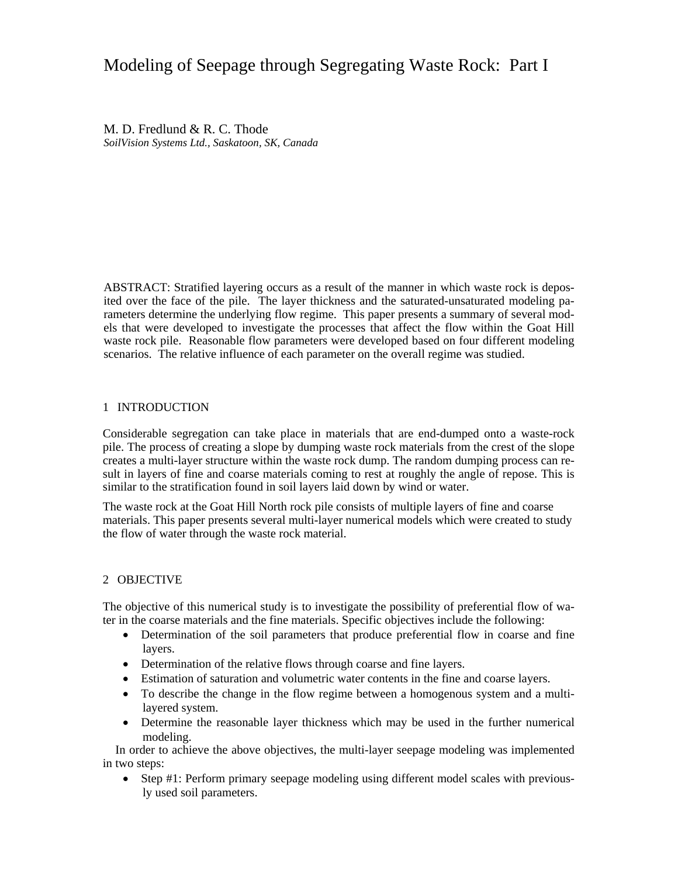# Modeling of Seepage through Segregating Waste Rock: Part I

M. D. Fredlund & R. C. Thode *SoilVision Systems Ltd., Saskatoon, SK, Canada* 

ABSTRACT: Stratified layering occurs as a result of the manner in which waste rock is deposited over the face of the pile. The layer thickness and the saturated-unsaturated modeling parameters determine the underlying flow regime. This paper presents a summary of several models that were developed to investigate the processes that affect the flow within the Goat Hill waste rock pile. Reasonable flow parameters were developed based on four different modeling scenarios. The relative influence of each parameter on the overall regime was studied.

### 1 INTRODUCTION

Considerable segregation can take place in materials that are end-dumped onto a waste-rock pile. The process of creating a slope by dumping waste rock materials from the crest of the slope creates a multi-layer structure within the waste rock dump. The random dumping process can result in layers of fine and coarse materials coming to rest at roughly the angle of repose. This is similar to the stratification found in soil layers laid down by wind or water.

The waste rock at the Goat Hill North rock pile consists of multiple layers of fine and coarse materials. This paper presents several multi-layer numerical models which were created to study the flow of water through the waste rock material.

### 2 OBJECTIVE

The objective of this numerical study is to investigate the possibility of preferential flow of water in the coarse materials and the fine materials. Specific objectives include the following:

- Determination of the soil parameters that produce preferential flow in coarse and fine layers.
- Determination of the relative flows through coarse and fine layers.
- Estimation of saturation and volumetric water contents in the fine and coarse layers.
- To describe the change in the flow regime between a homogenous system and a multilayered system.
- Determine the reasonable layer thickness which may be used in the further numerical modeling.

In order to achieve the above objectives, the multi-layer seepage modeling was implemented in two steps:

 Step #1: Perform primary seepage modeling using different model scales with previously used soil parameters.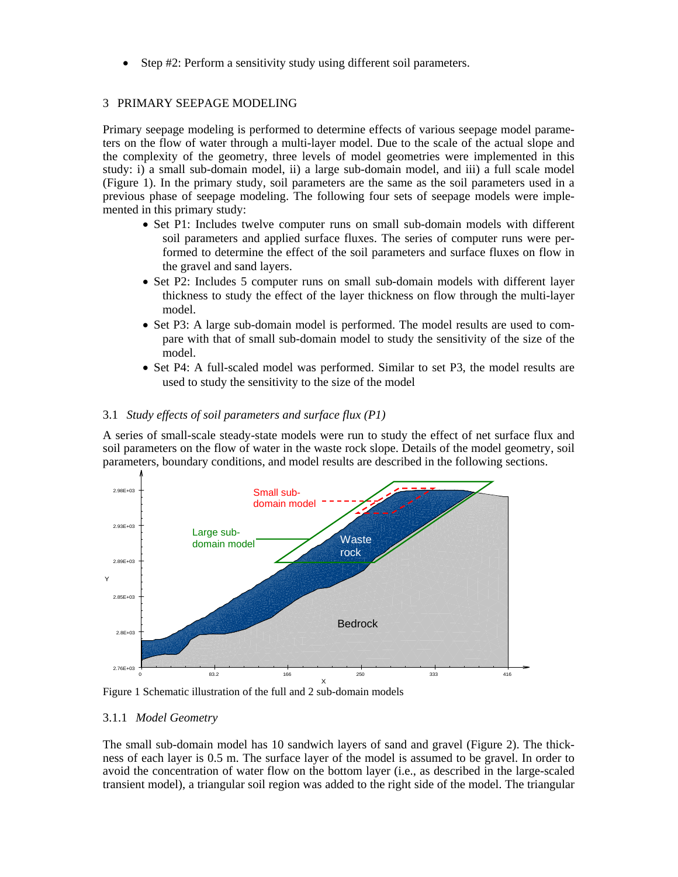Step #2: Perform a sensitivity study using different soil parameters.

### 3 PRIMARY SEEPAGE MODELING

Primary seepage modeling is performed to determine effects of various seepage model parameters on the flow of water through a multi-layer model. Due to the scale of the actual slope and the complexity of the geometry, three levels of model geometries were implemented in this study: i) a small sub-domain model, ii) a large sub-domain model, and iii) a full scale model (Figure 1). In the primary study, soil parameters are the same as the soil parameters used in a previous phase of seepage modeling. The following four sets of seepage models were implemented in this primary study:

- Set P1: Includes twelve computer runs on small sub-domain models with different soil parameters and applied surface fluxes. The series of computer runs were performed to determine the effect of the soil parameters and surface fluxes on flow in the gravel and sand layers.
- Set P2: Includes 5 computer runs on small sub-domain models with different layer thickness to study the effect of the layer thickness on flow through the multi-layer model.
- Set P3: A large sub-domain model is performed. The model results are used to compare with that of small sub-domain model to study the sensitivity of the size of the model.
- Set P4: A full-scaled model was performed. Similar to set P3, the model results are used to study the sensitivity to the size of the model

### 3.1 *Study effects of soil parameters and surface flux (P1)*

A series of small-scale steady-state models were run to study the effect of net surface flux and soil parameters on the flow of water in the waste rock slope. Details of the model geometry, soil parameters, boundary conditions, and model results are described in the following sections.



Figure 1 Schematic illustration of the full and 2 sub-domain models

### 3.1.1 *Model Geometry*

The small sub-domain model has 10 sandwich layers of sand and gravel (Figure 2). The thickness of each layer is 0.5 m. The surface layer of the model is assumed to be gravel. In order to avoid the concentration of water flow on the bottom layer (i.e., as described in the large-scaled transient model), a triangular soil region was added to the right side of the model. The triangular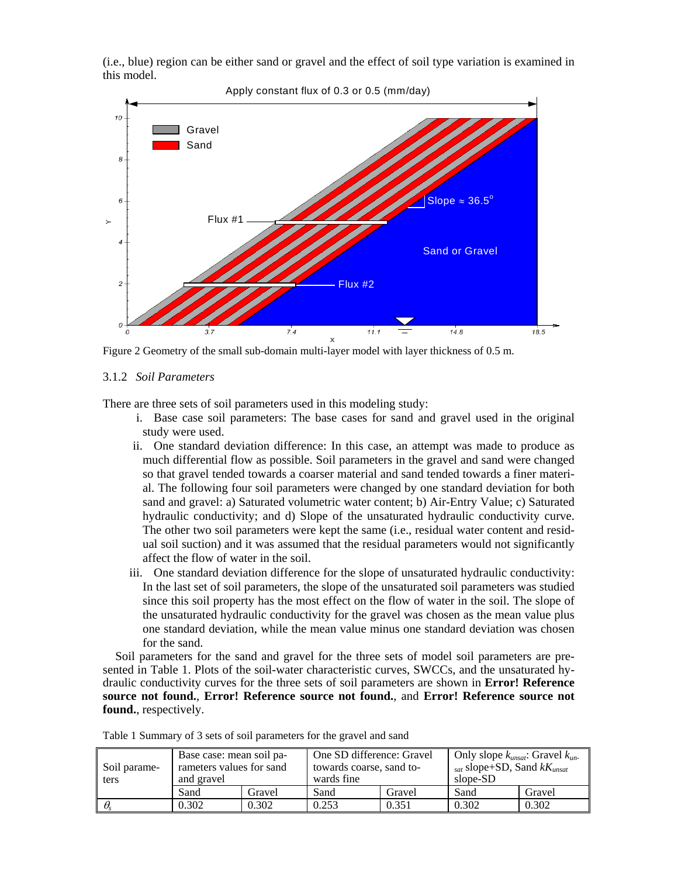(i.e., blue) region can be either sand or gravel and the effect of soil type variation is examined in this model.



Figure 2 Geometry of the small sub-domain multi-layer model with layer thickness of 0.5 m.

### 3.1.2 *Soil Parameters*

There are three sets of soil parameters used in this modeling study:

- i. Base case soil parameters: The base cases for sand and gravel used in the original study were used.
- ii. One standard deviation difference: In this case, an attempt was made to produce as much differential flow as possible. Soil parameters in the gravel and sand were changed so that gravel tended towards a coarser material and sand tended towards a finer material. The following four soil parameters were changed by one standard deviation for both sand and gravel: a) Saturated volumetric water content; b) Air-Entry Value; c) Saturated hydraulic conductivity; and d) Slope of the unsaturated hydraulic conductivity curve. The other two soil parameters were kept the same (i.e., residual water content and residual soil suction) and it was assumed that the residual parameters would not significantly affect the flow of water in the soil.
- iii. One standard deviation difference for the slope of unsaturated hydraulic conductivity: In the last set of soil parameters, the slope of the unsaturated soil parameters was studied since this soil property has the most effect on the flow of water in the soil. The slope of the unsaturated hydraulic conductivity for the gravel was chosen as the mean value plus one standard deviation, while the mean value minus one standard deviation was chosen for the sand.

Soil parameters for the sand and gravel for the three sets of model soil parameters are presented in Table 1. Plots of the soil-water characteristic curves, SWCCs, and the unsaturated hydraulic conductivity curves for the three sets of soil parameters are shown in **Error! Reference source not found.**, **Error! Reference source not found.**, and **Error! Reference source not found.**, respectively.

| Soil parame-<br>ters | Base case: mean soil pa-<br>rameters values for sand<br>and gravel |        | One SD difference: Gravel<br>towards coarse, sand to-<br>wards fine |        | Only slope $k_{unsat}$ : Gravel $k_{un}$ .<br><sub>sat</sub> slope+SD, Sand $kK_{unsat}$<br>slope-SD |        |  |
|----------------------|--------------------------------------------------------------------|--------|---------------------------------------------------------------------|--------|------------------------------------------------------------------------------------------------------|--------|--|
|                      | Sand                                                               | Gravel | Sand                                                                | Gravel | Sand                                                                                                 | Gravel |  |
| $\perp \theta$       | J.302                                                              | 0.302  | 0.253                                                               | 0.351  | 0.302                                                                                                | 0.302  |  |

Table 1 Summary of 3 sets of soil parameters for the gravel and sand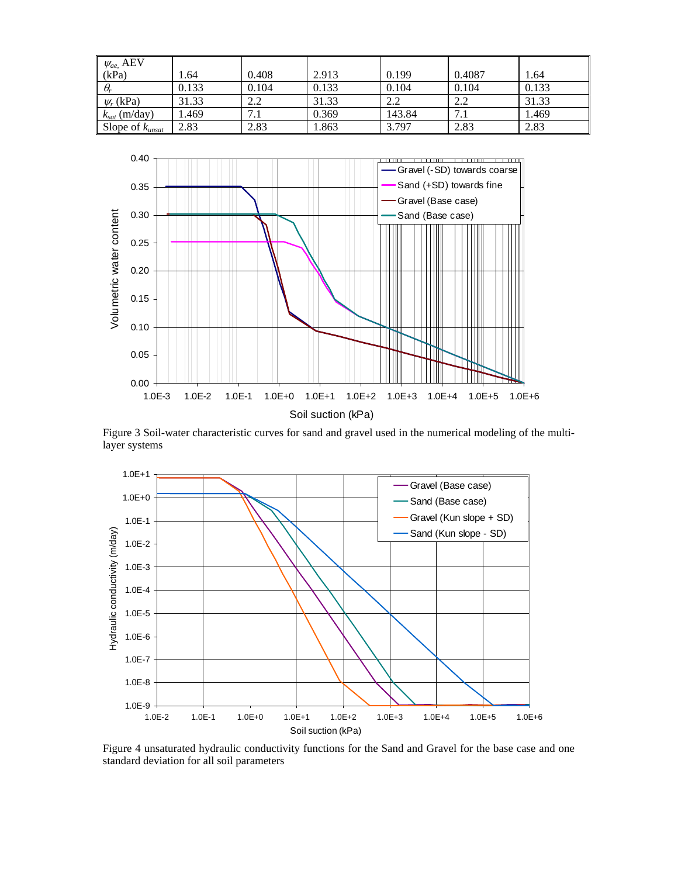| $\psi_{ae}$ , AEV    |       |       |       |        |        |       |
|----------------------|-------|-------|-------|--------|--------|-------|
| (kPa)                | 1.64  | 0.408 | 2.913 | 0.199  | 0.4087 | 1.64  |
| $\theta_r$           | 0.133 | 0.104 | 0.133 | 0.104  | 0.104  | 0.133 |
| $\psi_r$ (kPa)       | 31.33 | 2.2   | 31.33 | 2.2    | 2.2    | 31.33 |
| $k_{sat}$ (m/day)    | . 469 | 7.1   | 0.369 | 143.84 | 7.1    | 1.469 |
| Slope of $k_{unsat}$ | 2.83  | 2.83  | 1.863 | 3.797  | 2.83   | 2.83  |



Figure 3 Soil-water characteristic curves for sand and gravel used in the numerical modeling of the multilayer systems



Figure 4 unsaturated hydraulic conductivity functions for the Sand and Gravel for the base case and one standard deviation for all soil parameters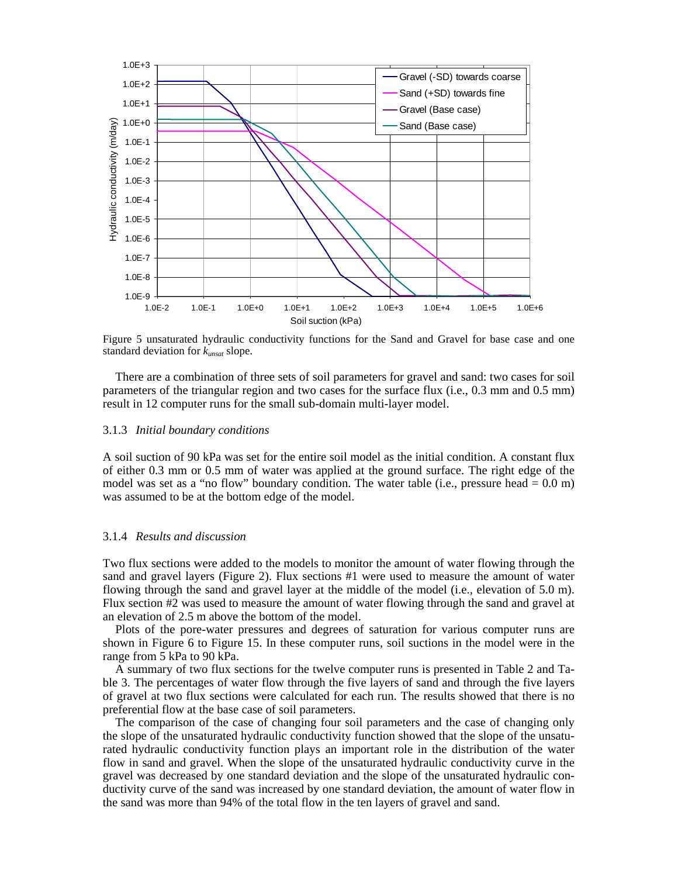

Figure 5 unsaturated hydraulic conductivity functions for the Sand and Gravel for base case and one standard deviation for *kunsat* slope.

There are a combination of three sets of soil parameters for gravel and sand: two cases for soil parameters of the triangular region and two cases for the surface flux (i.e., 0.3 mm and 0.5 mm) result in 12 computer runs for the small sub-domain multi-layer model.

#### 3.1.3 *Initial boundary conditions*

A soil suction of 90 kPa was set for the entire soil model as the initial condition. A constant flux of either 0.3 mm or 0.5 mm of water was applied at the ground surface. The right edge of the model was set as a "no flow" boundary condition. The water table (i.e., pressure head  $= 0.0$  m) was assumed to be at the bottom edge of the model.

#### 3.1.4 *Results and discussion*

Two flux sections were added to the models to monitor the amount of water flowing through the sand and gravel layers (Figure 2). Flux sections #1 were used to measure the amount of water flowing through the sand and gravel layer at the middle of the model (i.e., elevation of 5.0 m). Flux section #2 was used to measure the amount of water flowing through the sand and gravel at an elevation of 2.5 m above the bottom of the model.

Plots of the pore-water pressures and degrees of saturation for various computer runs are shown in Figure 6 to Figure 15. In these computer runs, soil suctions in the model were in the range from 5 kPa to 90 kPa.

A summary of two flux sections for the twelve computer runs is presented in Table 2 and Table 3. The percentages of water flow through the five layers of sand and through the five layers of gravel at two flux sections were calculated for each run. The results showed that there is no preferential flow at the base case of soil parameters.

The comparison of the case of changing four soil parameters and the case of changing only the slope of the unsaturated hydraulic conductivity function showed that the slope of the unsaturated hydraulic conductivity function plays an important role in the distribution of the water flow in sand and gravel. When the slope of the unsaturated hydraulic conductivity curve in the gravel was decreased by one standard deviation and the slope of the unsaturated hydraulic conductivity curve of the sand was increased by one standard deviation, the amount of water flow in the sand was more than 94% of the total flow in the ten layers of gravel and sand.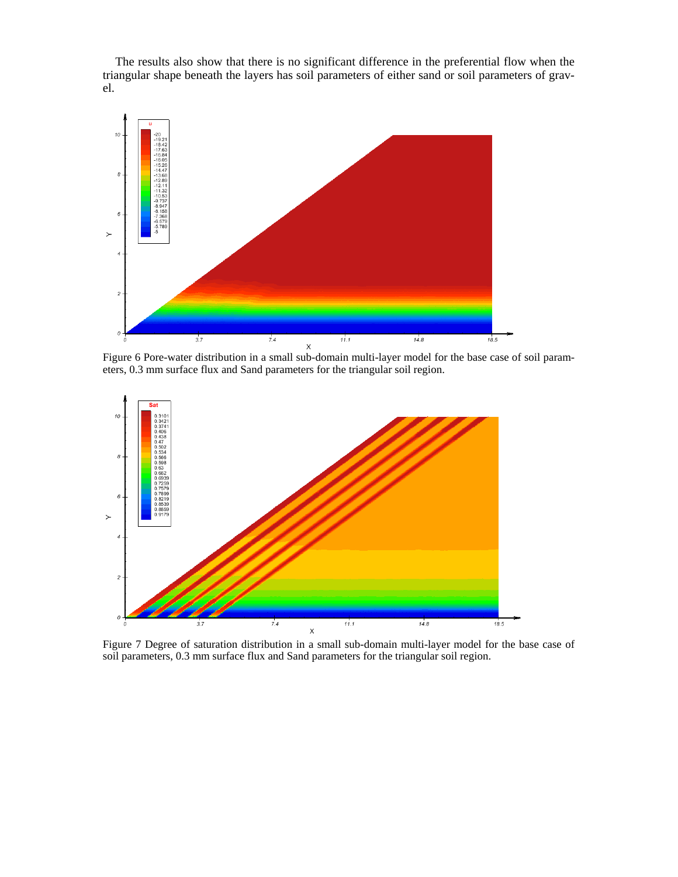The results also show that there is no significant difference in the preferential flow when the triangular shape beneath the layers has soil parameters of either sand or soil parameters of gravel.



Figure 6 Pore-water distribution in a small sub-domain multi-layer model for the base case of soil parameters, 0.3 mm surface flux and Sand parameters for the triangular soil region.



Figure 7 Degree of saturation distribution in a small sub-domain multi-layer model for the base case of soil parameters, 0.3 mm surface flux and Sand parameters for the triangular soil region.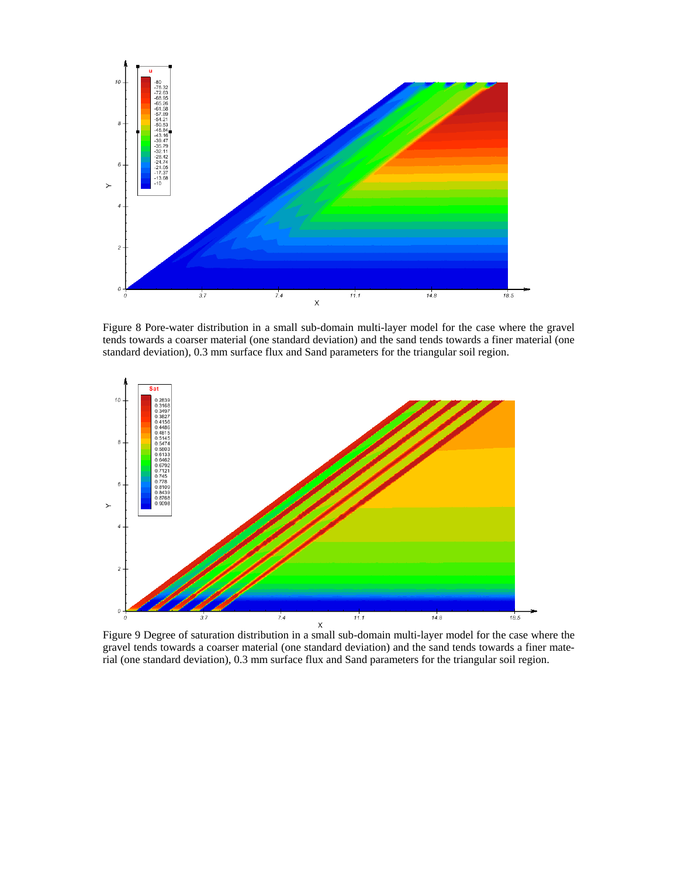

Figure 8 Pore-water distribution in a small sub-domain multi-layer model for the case where the gravel tends towards a coarser material (one standard deviation) and the sand tends towards a finer material (one standard deviation), 0.3 mm surface flux and Sand parameters for the triangular soil region.



Figure 9 Degree of saturation distribution in a small sub-domain multi-layer model for the case where the gravel tends towards a coarser material (one standard deviation) and the sand tends towards a finer material (one standard deviation), 0.3 mm surface flux and Sand parameters for the triangular soil region.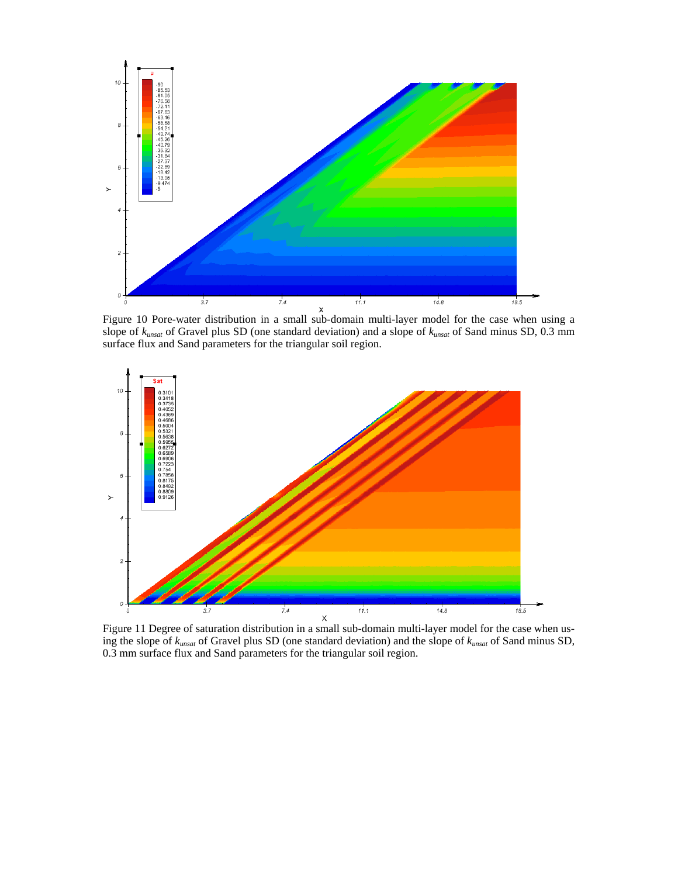

Figure 10 Pore-water distribution in a small sub-domain multi-layer model for the case when using a slope of *kunsat* of Gravel plus SD (one standard deviation) and a slope of *kunsat* of Sand minus SD, 0.3 mm surface flux and Sand parameters for the triangular soil region.



Figure 11 Degree of saturation distribution in a small sub-domain multi-layer model for the case when using the slope of *kunsat* of Gravel plus SD (one standard deviation) and the slope of *kunsat* of Sand minus SD, 0.3 mm surface flux and Sand parameters for the triangular soil region.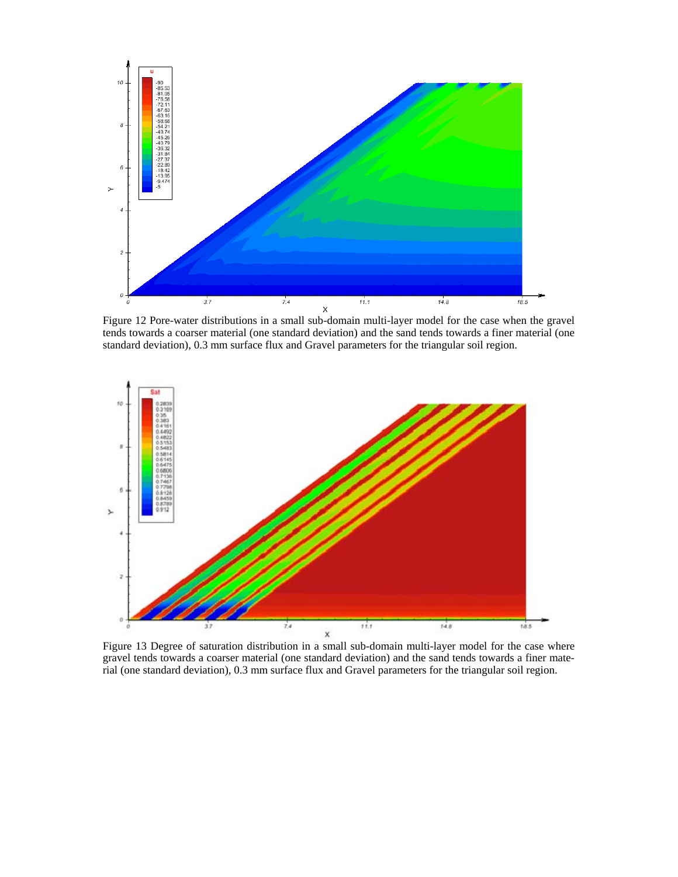

tends towards a coarser material (one standard deviation) and the sand tends towards a finer material (one standard deviation), 0.3 mm surface flux and Gravel parameters for the triangular soil region.



Figure 13 Degree of saturation distribution in a small sub-domain multi-layer model for the case where gravel tends towards a coarser material (one standard deviation) and the sand tends towards a finer material (one standard deviation), 0.3 mm surface flux and Gravel parameters for the triangular soil region.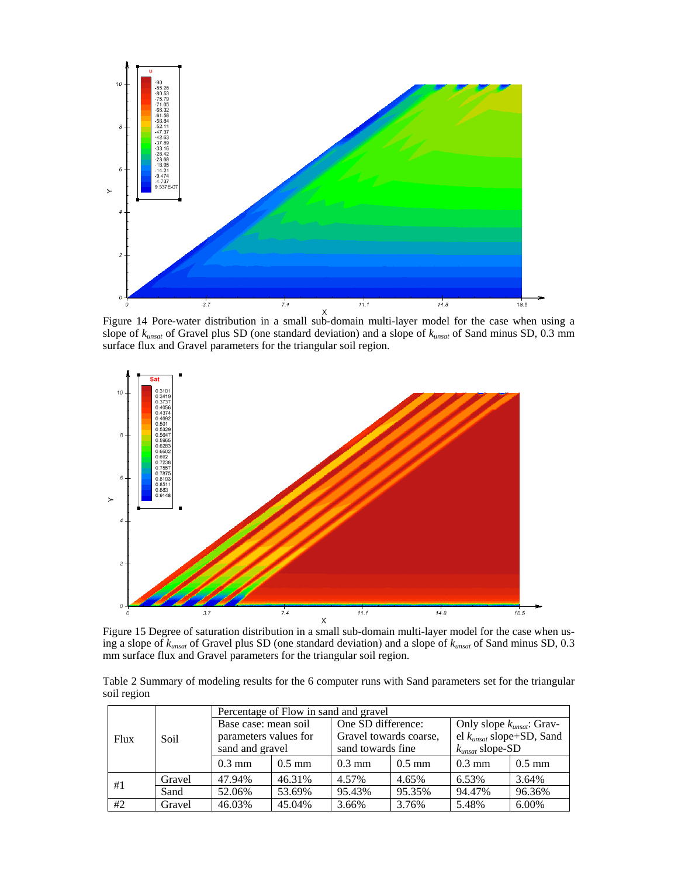

Figure 14 Pore-water distribution in a small sub-domain multi-layer model for the case when using a slope of *kunsat* of Gravel plus SD (one standard deviation) and a slope of *kunsat* of Sand minus SD, 0.3 mm surface flux and Gravel parameters for the triangular soil region.



Figure 15 Degree of saturation distribution in a small sub-domain multi-layer model for the case when using a slope of *kunsat* of Gravel plus SD (one standard deviation) and a slope of *kunsat* of Sand minus SD, 0.3 mm surface flux and Gravel parameters for the triangular soil region.

Table 2 Summary of modeling results for the 6 computer runs with Sand parameters set for the triangular soil region

|      |        | Percentage of Flow in sand and gravel |          |                        |          |                                |                  |  |
|------|--------|---------------------------------------|----------|------------------------|----------|--------------------------------|------------------|--|
| Flux |        | Base case: mean soil                  |          | One SD difference:     |          | Only slope $k_{unsat}$ : Grav- |                  |  |
|      | Soil   | parameters values for                 |          | Gravel towards coarse, |          | el $k_{unsat}$ slope+SD, Sand  |                  |  |
|      |        | sand and gravel                       |          | sand towards fine      |          | $k_{unsat}$ slope-SD           |                  |  |
|      |        | $0.3 \text{ mm}$                      | $0.5$ mm | $0.3 \text{ mm}$       | $0.5$ mm | $0.3 \text{ mm}$               | $0.5 \text{ mm}$ |  |
|      | Gravel | 47.94%                                | 46.31%   | 4.57%                  | 4.65%    | 6.53%                          | 3.64%            |  |
| #1   | Sand   | 52.06%                                | 53.69%   | 95.43%                 | 95.35%   | 94.47%                         | 96.36%           |  |
| #2   | Gravel | 46.03%                                | 45.04%   | 3.66%                  | 3.76%    | 5.48%                          | 6.00%            |  |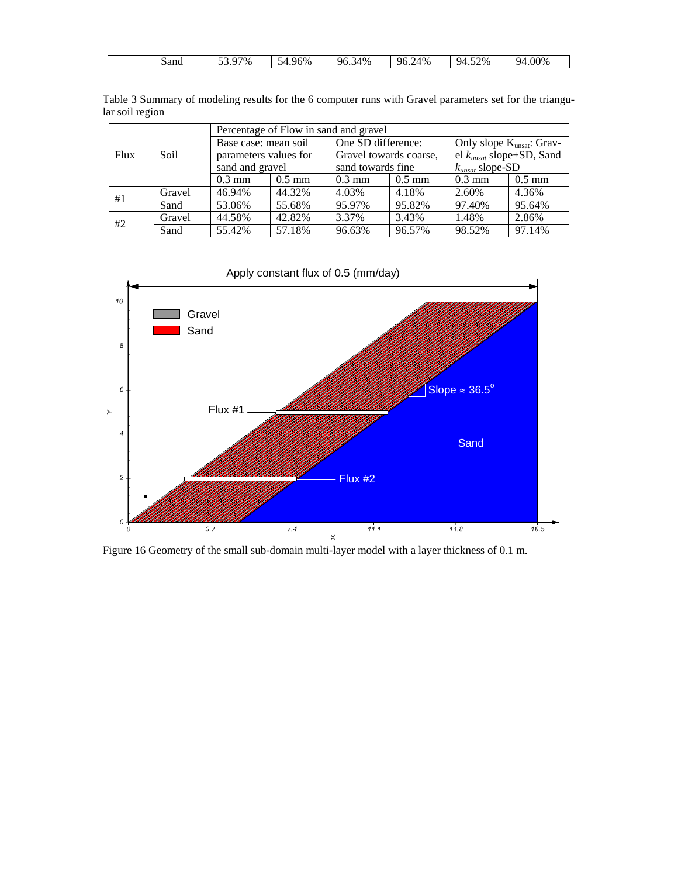| - -<br>$\sim$ $-$<br>52%<br>$0.00\%$<br>4%<br>70/0<br>$4\%$<br>$\sim$<br>96%<br>qΔ<br>96.7<br>96<br>94<br>sand<br>.<br>$\checkmark$<br>$\cdots$<br>$\cdot$ |
|------------------------------------------------------------------------------------------------------------------------------------------------------------|
|------------------------------------------------------------------------------------------------------------------------------------------------------------|

|                 | Table 3 Summary of modeling results for the 6 computer runs with Gravel parameters set for the triangu- |  |  |  |
|-----------------|---------------------------------------------------------------------------------------------------------|--|--|--|
| lar soil region |                                                                                                         |  |  |  |

|                     |        | Percentage of Flow in sand and gravel |          |                        |                    |                               |                                |  |
|---------------------|--------|---------------------------------------|----------|------------------------|--------------------|-------------------------------|--------------------------------|--|
|                     |        | Base case: mean soil                  |          |                        | One SD difference: |                               | Only slope $K_{unsat}$ : Grav- |  |
| Soil<br><b>Flux</b> |        | parameters values for                 |          | Gravel towards coarse, |                    | el $k_{unsat}$ slope+SD, Sand |                                |  |
|                     |        | sand and gravel                       |          | sand towards fine      |                    | $k_{unsat}$ slope-SD          |                                |  |
|                     |        | $0.3 \text{ mm}$                      | $0.5$ mm | $0.3 \text{ mm}$       | $0.5$ mm           | $0.3 \text{ mm}$              | $0.5$ mm                       |  |
| #1                  | Gravel | 46.94%                                | 44.32%   | 4.03%                  | 4.18%              | 2.60%                         | 4.36%                          |  |
|                     | Sand   | 53.06%                                | 55.68%   | 95.97%                 | 95.82%             | 97.40%                        | 95.64%                         |  |
| #2                  | Gravel | 44.58%                                | 42.82%   | 3.37%                  | 3.43%              | 1.48%                         | 2.86%                          |  |
|                     | Sand   | 55.42%                                | 57.18%   | 96.63%                 | 96.57%             | 98.52%                        | 97.14%                         |  |



Figure 16 Geometry of the small sub-domain multi-layer model with a layer thickness of 0.1 m.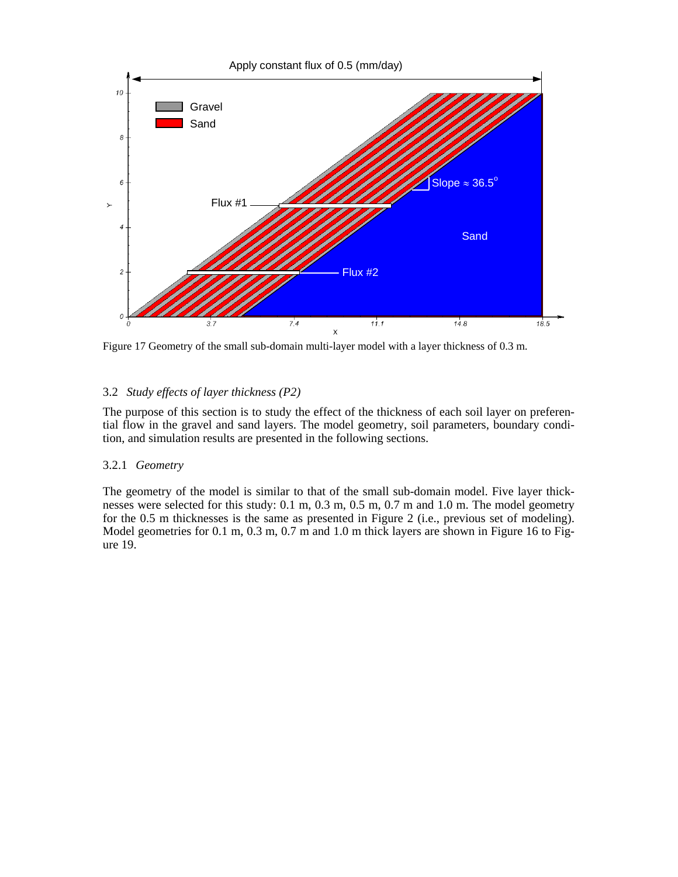

Figure 17 Geometry of the small sub-domain multi-layer model with a layer thickness of 0.3 m.

### 3.2 *Study effects of layer thickness (P2)*

The purpose of this section is to study the effect of the thickness of each soil layer on preferential flow in the gravel and sand layers. The model geometry, soil parameters, boundary condition, and simulation results are presented in the following sections.

### 3.2.1 *Geometry*

The geometry of the model is similar to that of the small sub-domain model. Five layer thicknesses were selected for this study: 0.1 m, 0.3 m, 0.5 m, 0.7 m and 1.0 m. The model geometry for the 0.5 m thicknesses is the same as presented in Figure 2 (i.e., previous set of modeling). Model geometries for 0.1 m, 0.3 m, 0.7 m and 1.0 m thick layers are shown in Figure 16 to Figure 19.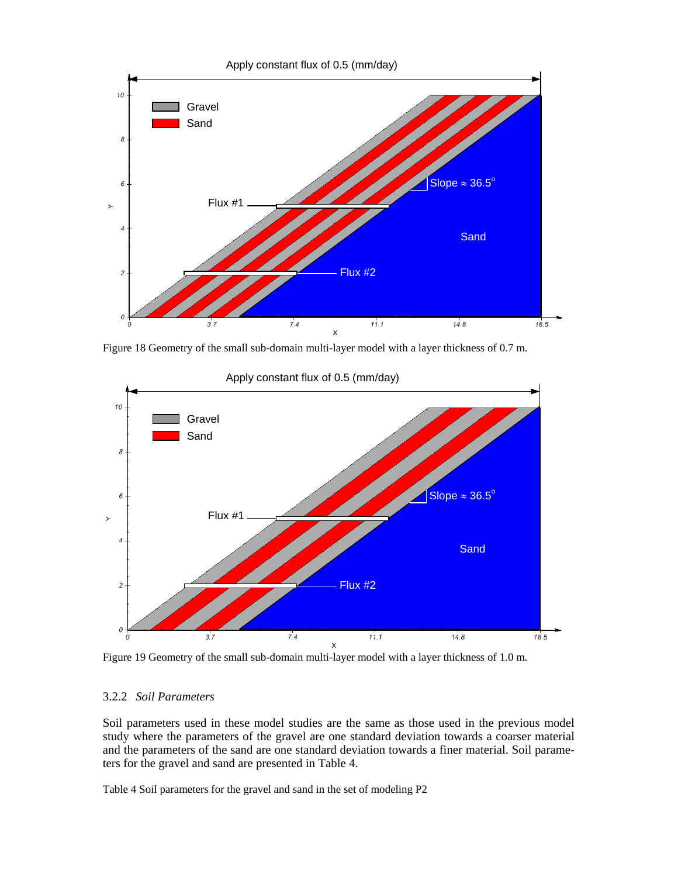

Figure 18 Geometry of the small sub-domain multi-layer model with a layer thickness of 0.7 m.



Figure 19 Geometry of the small sub-domain multi-layer model with a layer thickness of 1.0 m.

### 3.2.2 *Soil Parameters*

Soil parameters used in these model studies are the same as those used in the previous model study where the parameters of the gravel are one standard deviation towards a coarser material and the parameters of the sand are one standard deviation towards a finer material. Soil parameters for the gravel and sand are presented in Table 4.

Table 4 Soil parameters for the gravel and sand in the set of modeling P2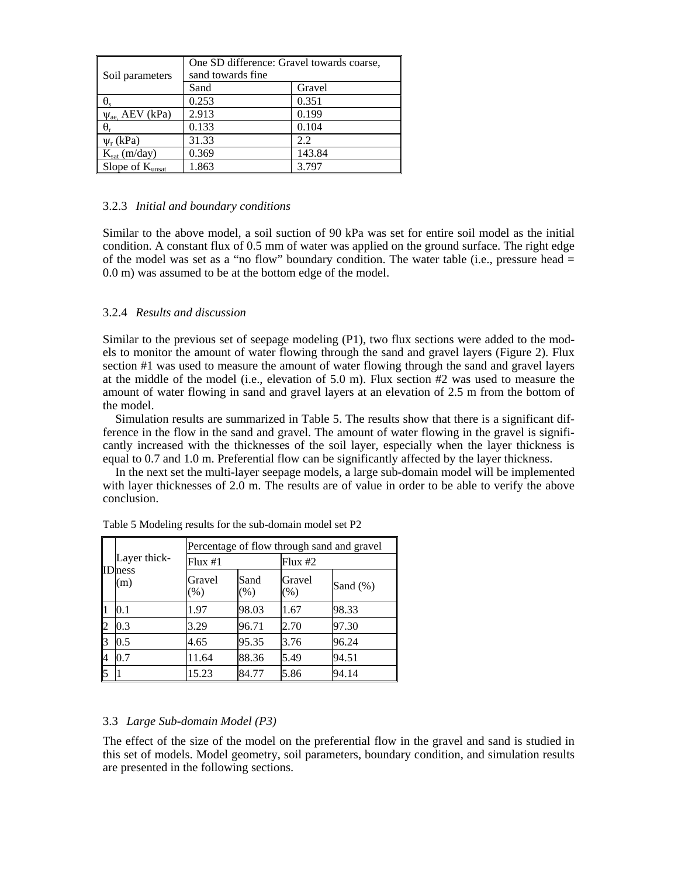| Soil parameters                 | One SD difference: Gravel towards coarse,<br>sand towards fine |        |  |  |  |  |
|---------------------------------|----------------------------------------------------------------|--------|--|--|--|--|
|                                 | Sand                                                           | Gravel |  |  |  |  |
| $\Theta_{\rm s}$                | 0.253                                                          | 0.351  |  |  |  |  |
| $\psi$ <sub>ae,</sub> AEV (kPa) | 2.913                                                          | 0.199  |  |  |  |  |
| $\theta_r$                      | 0.133                                                          | 0.104  |  |  |  |  |
| $\Psi_r$ (kPa)                  | 31.33                                                          | 2.2    |  |  |  |  |
| $K_{sat}$ (m/day)               | 0.369                                                          | 143.84 |  |  |  |  |
| Slope of K <sub>unsat</sub>     | 1.863                                                          | 3.797  |  |  |  |  |

### 3.2.3 *Initial and boundary conditions*

Similar to the above model, a soil suction of 90 kPa was set for entire soil model as the initial condition. A constant flux of 0.5 mm of water was applied on the ground surface. The right edge of the model was set as a "no flow" boundary condition. The water table (i.e., pressure head  $=$ 0.0 m) was assumed to be at the bottom edge of the model.

### 3.2.4 *Results and discussion*

Similar to the previous set of seepage modeling (P1), two flux sections were added to the models to monitor the amount of water flowing through the sand and gravel layers (Figure 2). Flux section #1 was used to measure the amount of water flowing through the sand and gravel layers at the middle of the model (i.e., elevation of 5.0 m). Flux section  $#2$  was used to measure the amount of water flowing in sand and gravel layers at an elevation of 2.5 m from the bottom of the model.

Simulation results are summarized in Table 5. The results show that there is a significant difference in the flow in the sand and gravel. The amount of water flowing in the gravel is significantly increased with the thicknesses of the soil layer, especially when the layer thickness is equal to 0.7 and 1.0 m. Preferential flow can be significantly affected by the layer thickness.

In the next set the multi-layer seepage models, a large sub-domain model will be implemented with layer thicknesses of 2.0 m. The results are of value in order to be able to verify the above conclusion.

|    |                       |                  | Percentage of flow through sand and gravel |                  |             |  |  |  |
|----|-----------------------|------------------|--------------------------------------------|------------------|-------------|--|--|--|
|    | Layer thick-          | Flux #1          |                                            | Flux #2          |             |  |  |  |
|    | <b>ID</b> ness<br>(m) | Gravel<br>$(\%)$ | Sand<br>(% )                               | Gravel<br>$(\%)$ | Sand $(\%)$ |  |  |  |
|    | $0.1\,$               | 1.97             | 98.03                                      | 1.67             | 98.33       |  |  |  |
|    | 0.3                   | 3.29             | 96.71                                      | 2.70             | 97.30       |  |  |  |
| 13 | 0.5                   | 4.65             | 95.35                                      | 3.76             | 96.24       |  |  |  |
|    | 0.7                   | 11.64            | 88.36                                      | 5.49             | 94.51       |  |  |  |
|    |                       | 15.23            | 84.77                                      | 5.86             | 94.14       |  |  |  |

Table 5 Modeling results for the sub-domain model set P2

### 3.3 *Large Sub-domain Model (P3)*

The effect of the size of the model on the preferential flow in the gravel and sand is studied in this set of models. Model geometry, soil parameters, boundary condition, and simulation results are presented in the following sections.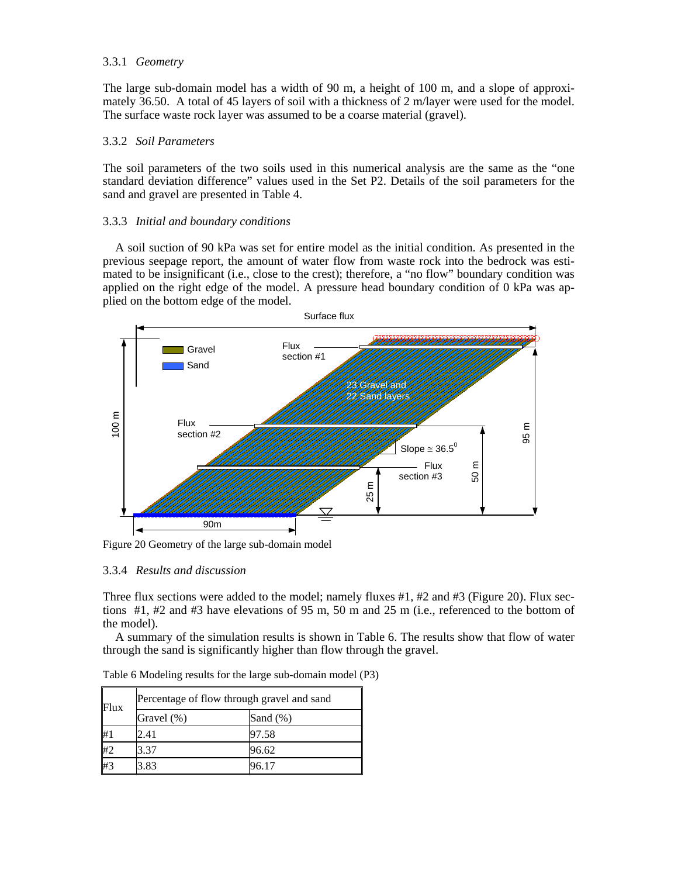### 3.3.1 *Geometry*

The large sub-domain model has a width of 90 m, a height of 100 m, and a slope of approximately 36.50. A total of 45 layers of soil with a thickness of 2 m/layer were used for the model. The surface waste rock layer was assumed to be a coarse material (gravel).

### 3.3.2 *Soil Parameters*

The soil parameters of the two soils used in this numerical analysis are the same as the "one standard deviation difference" values used in the Set P2. Details of the soil parameters for the sand and gravel are presented in Table 4.

### 3.3.3 *Initial and boundary conditions*

A soil suction of 90 kPa was set for entire model as the initial condition. As presented in the previous seepage report, the amount of water flow from waste rock into the bedrock was estimated to be insignificant (i.e., close to the crest); therefore, a "no flow" boundary condition was applied on the right edge of the model. A pressure head boundary condition of 0 kPa was applied on the bottom edge of the model.



Figure 20 Geometry of the large sub-domain model

### 3.3.4 *Results and discussion*

Three flux sections were added to the model; namely fluxes #1, #2 and #3 (Figure 20). Flux sections #1, #2 and #3 have elevations of 95 m, 50 m and 25 m (i.e., referenced to the bottom of the model).

A summary of the simulation results is shown in Table 6. The results show that flow of water through the sand is significantly higher than flow through the gravel.

| Flux | Percentage of flow through gravel and sand |             |  |  |  |  |
|------|--------------------------------------------|-------------|--|--|--|--|
|      | Gravel (%)                                 | Sand $(\%)$ |  |  |  |  |
| $\#$ | 2.41                                       | 97.58       |  |  |  |  |
| #2   | 3.37                                       | 96.62       |  |  |  |  |
| #3   | 3.83                                       | 96.17       |  |  |  |  |

Table 6 Modeling results for the large sub-domain model (P3)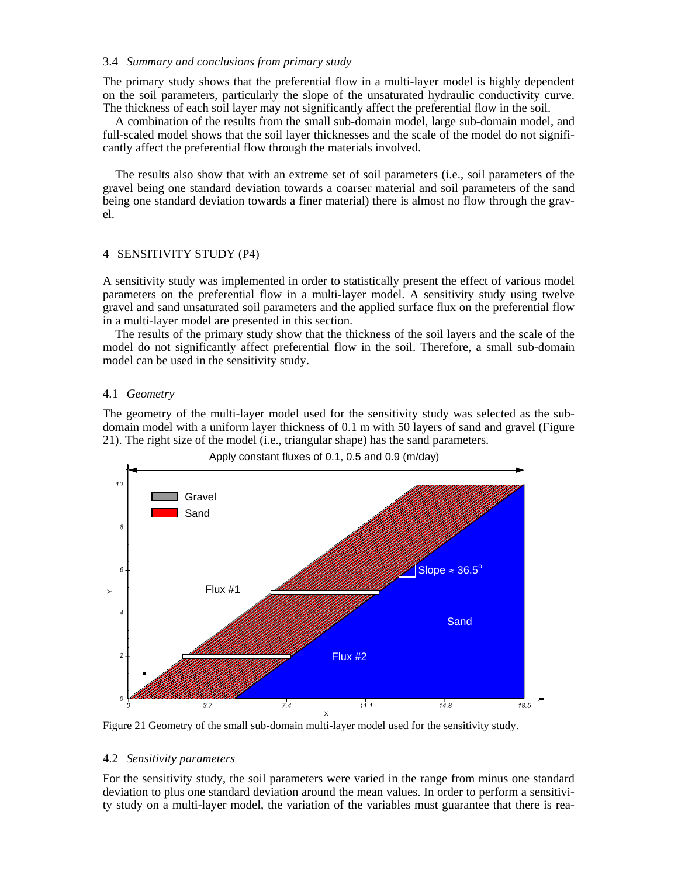#### 3.4 *Summary and conclusions from primary study*

The primary study shows that the preferential flow in a multi-layer model is highly dependent on the soil parameters, particularly the slope of the unsaturated hydraulic conductivity curve. The thickness of each soil layer may not significantly affect the preferential flow in the soil.

A combination of the results from the small sub-domain model, large sub-domain model, and full-scaled model shows that the soil layer thicknesses and the scale of the model do not significantly affect the preferential flow through the materials involved.

The results also show that with an extreme set of soil parameters (i.e., soil parameters of the gravel being one standard deviation towards a coarser material and soil parameters of the sand being one standard deviation towards a finer material) there is almost no flow through the gravel.

#### 4 SENSITIVITY STUDY (P4)

A sensitivity study was implemented in order to statistically present the effect of various model parameters on the preferential flow in a multi-layer model. A sensitivity study using twelve gravel and sand unsaturated soil parameters and the applied surface flux on the preferential flow in a multi-layer model are presented in this section.

The results of the primary study show that the thickness of the soil layers and the scale of the model do not significantly affect preferential flow in the soil. Therefore, a small sub-domain model can be used in the sensitivity study.

#### 4.1 *Geometry*

The geometry of the multi-layer model used for the sensitivity study was selected as the subdomain model with a uniform layer thickness of 0.1 m with 50 layers of sand and gravel (Figure 21). The right size of the model (i.e., triangular shape) has the sand parameters.



Figure 21 Geometry of the small sub-domain multi-layer model used for the sensitivity study.

#### 4.2 *Sensitivity parameters*

For the sensitivity study, the soil parameters were varied in the range from minus one standard deviation to plus one standard deviation around the mean values. In order to perform a sensitivity study on a multi-layer model, the variation of the variables must guarantee that there is rea-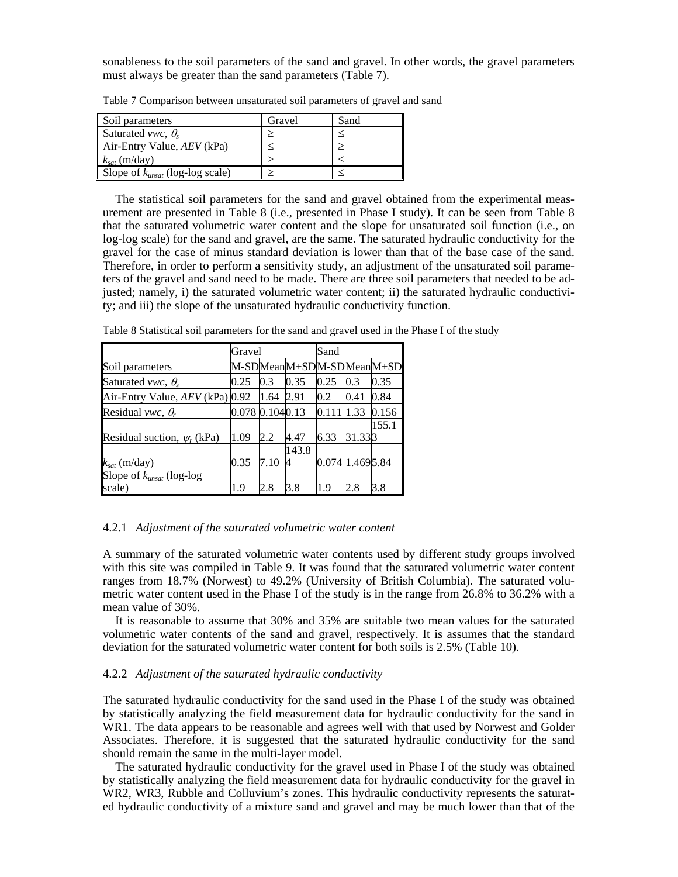sonableness to the soil parameters of the sand and gravel. In other words, the gravel parameters must always be greater than the sand parameters (Table 7).

| Soil parameters                      | Gravel | Sand |
|--------------------------------------|--------|------|
| Saturated <i>vwc</i> , $\theta_{s}$  |        |      |
| Air-Entry Value, $AEV$ (kPa)         |        |      |
| $k_{sat}$ (m/day)                    |        |      |
| Slope of $k_{unsat}$ (log-log scale) |        |      |

Table 7 Comparison between unsaturated soil parameters of gravel and sand

The statistical soil parameters for the sand and gravel obtained from the experimental measurement are presented in Table 8 (i.e., presented in Phase I study). It can be seen from Table 8 that the saturated volumetric water content and the slope for unsaturated soil function (i.e., on log-log scale) for the sand and gravel, are the same. The saturated hydraulic conductivity for the gravel for the case of minus standard deviation is lower than that of the base case of the sand. Therefore, in order to perform a sensitivity study, an adjustment of the unsaturated soil parameters of the gravel and sand need to be made. There are three soil parameters that needed to be adjusted; namely, i) the saturated volumetric water content; ii) the saturated hydraulic conductivity; and iii) the slope of the unsaturated hydraulic conductivity function.

Table 8 Statistical soil parameters for the sand and gravel used in the Phase I of the study

|                                     | Gravel          |      |       | Sand            |         |                          |
|-------------------------------------|-----------------|------|-------|-----------------|---------|--------------------------|
| Soil parameters                     |                 |      |       |                 |         | M-SDMeanM+SDM-SDMeanM+SD |
| Saturated <i>vwc</i> , $\theta_{s}$ | 0.25            | 0.3  | 0.35  | 0.25            | 0.3     | 0.35                     |
| Air-Entry Value, $AEV$ (kPa) $0.92$ |                 | 1.64 | 2.91  | 0.2             | 0.41    | 0.84                     |
| Residual vwc, $\theta_r$            | 0.078 0.1040.13 |      |       | 0.111           | 1.33    | 0.156                    |
|                                     |                 |      |       |                 |         | 155.1                    |
| Residual suction, $\psi_r$ (kPa)    | 1.09            | 2.2  | 4.47  | 6.33            | 31.3313 |                          |
|                                     |                 |      | 143.8 |                 |         |                          |
| $k_{sat}$ (m/day)                   | 0.35            | 7.10 | 4     | 0.074 1.4695.84 |         |                          |
| Slope of $k_{unsat}$ (log-log       |                 |      |       |                 |         |                          |
| scale)                              | 1.9             | 2.8  | 3.8   | 1.9             | 2.8     | 3.8                      |

#### 4.2.1 *Adjustment of the saturated volumetric water content*

A summary of the saturated volumetric water contents used by different study groups involved with this site was compiled in Table 9. It was found that the saturated volumetric water content ranges from 18.7% (Norwest) to 49.2% (University of British Columbia). The saturated volumetric water content used in the Phase I of the study is in the range from 26.8% to 36.2% with a mean value of 30%.

It is reasonable to assume that 30% and 35% are suitable two mean values for the saturated volumetric water contents of the sand and gravel, respectively. It is assumes that the standard deviation for the saturated volumetric water content for both soils is 2.5% (Table 10).

### 4.2.2 *Adjustment of the saturated hydraulic conductivity*

The saturated hydraulic conductivity for the sand used in the Phase I of the study was obtained by statistically analyzing the field measurement data for hydraulic conductivity for the sand in WR1. The data appears to be reasonable and agrees well with that used by Norwest and Golder Associates. Therefore, it is suggested that the saturated hydraulic conductivity for the sand should remain the same in the multi-layer model.

The saturated hydraulic conductivity for the gravel used in Phase I of the study was obtained by statistically analyzing the field measurement data for hydraulic conductivity for the gravel in WR2, WR3, Rubble and Colluvium's zones. This hydraulic conductivity represents the saturated hydraulic conductivity of a mixture sand and gravel and may be much lower than that of the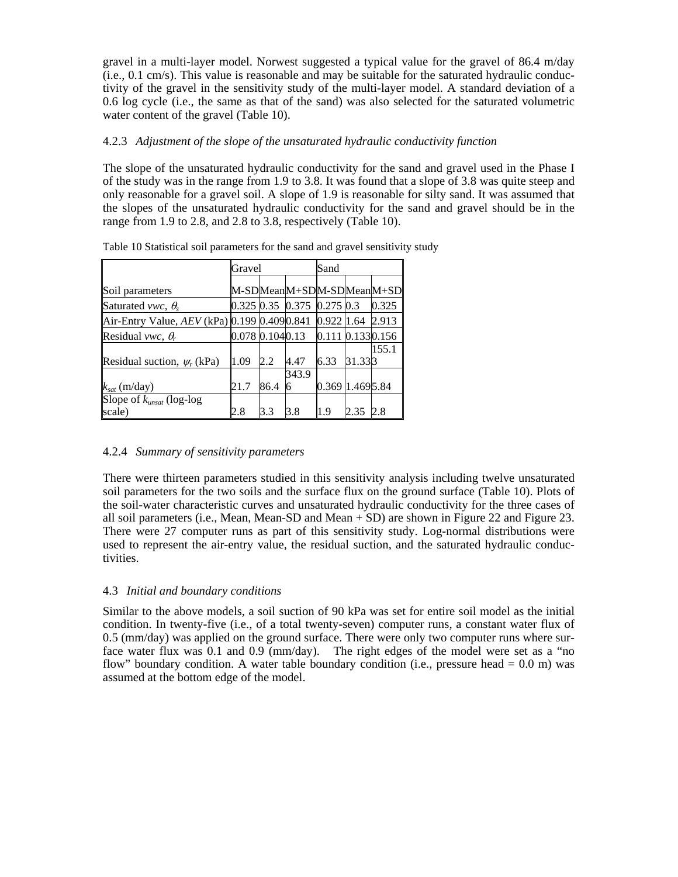gravel in a multi-layer model. Norwest suggested a typical value for the gravel of 86.4 m/day (i.e., 0.1 cm/s). This value is reasonable and may be suitable for the saturated hydraulic conductivity of the gravel in the sensitivity study of the multi-layer model. A standard deviation of a 0.6 log cycle (i.e., the same as that of the sand) was also selected for the saturated volumetric water content of the gravel (Table 10).

### 4.2.3 *Adjustment of the slope of the unsaturated hydraulic conductivity function*

The slope of the unsaturated hydraulic conductivity for the sand and gravel used in the Phase I of the study was in the range from 1.9 to 3.8. It was found that a slope of 3.8 was quite steep and only reasonable for a gravel soil. A slope of 1.9 is reasonable for silty sand. It was assumed that the slopes of the unsaturated hydraulic conductivity for the sand and gravel should be in the range from 1.9 to 2.8, and 2.8 to 3.8, respectively (Table 10).

|                                                   | Gravel           |      | Sand                                 |                         |        |                          |
|---------------------------------------------------|------------------|------|--------------------------------------|-------------------------|--------|--------------------------|
|                                                   |                  |      |                                      |                         |        |                          |
| Soil parameters                                   |                  |      |                                      |                         |        | M-SDMeanM+SDM-SDMeanM+SD |
| Saturated vwc, $\theta_s$                         |                  |      | $0.325$ $0.35$ $0.375$ $0.275$ $0.3$ |                         |        | 0.325                    |
| Air-Entry Value, $AEV$ (kPa) $ 0.199 0.409 0.841$ |                  |      |                                      | 0.922 1.64              |        | 2.913                    |
| Residual <i>vwc</i> , $\theta_r$                  | 0.078 0.104 0.13 |      |                                      | $0.111$ $0.133$ $0.156$ |        |                          |
|                                                   |                  |      |                                      |                         |        | 155.1                    |
| Residual suction, $\psi_r$ (kPa)                  | 1.09             | 2.2  | 4.47                                 | 6.33                    | 31.333 |                          |
|                                                   |                  |      | 343.9                                |                         |        |                          |
| $k_{sat}$ (m/day)                                 | 21.7             | 86.4 | 6                                    | 0.369 1.469 5.84        |        |                          |
| Slope of $k_{unsat}$ (log-log                     |                  |      |                                      |                         |        |                          |
| scale)                                            | 2.8              | 3.3  | 3.8                                  | 1.9                     | 2.35   | 2.8                      |

Table 10 Statistical soil parameters for the sand and gravel sensitivity study

### 4.2.4 *Summary of sensitivity parameters*

There were thirteen parameters studied in this sensitivity analysis including twelve unsaturated soil parameters for the two soils and the surface flux on the ground surface (Table 10). Plots of the soil-water characteristic curves and unsaturated hydraulic conductivity for the three cases of all soil parameters (i.e., Mean, Mean-SD and Mean + SD) are shown in Figure 22 and Figure 23. There were 27 computer runs as part of this sensitivity study. Log-normal distributions were used to represent the air-entry value, the residual suction, and the saturated hydraulic conductivities.

### 4.3 *Initial and boundary conditions*

Similar to the above models, a soil suction of 90 kPa was set for entire soil model as the initial condition. In twenty-five (i.e., of a total twenty-seven) computer runs, a constant water flux of 0.5 (mm/day) was applied on the ground surface. There were only two computer runs where surface water flux was 0.1 and 0.9 (mm/day). The right edges of the model were set as a "no flow" boundary condition. A water table boundary condition (i.e., pressure head  $= 0.0$  m) was assumed at the bottom edge of the model.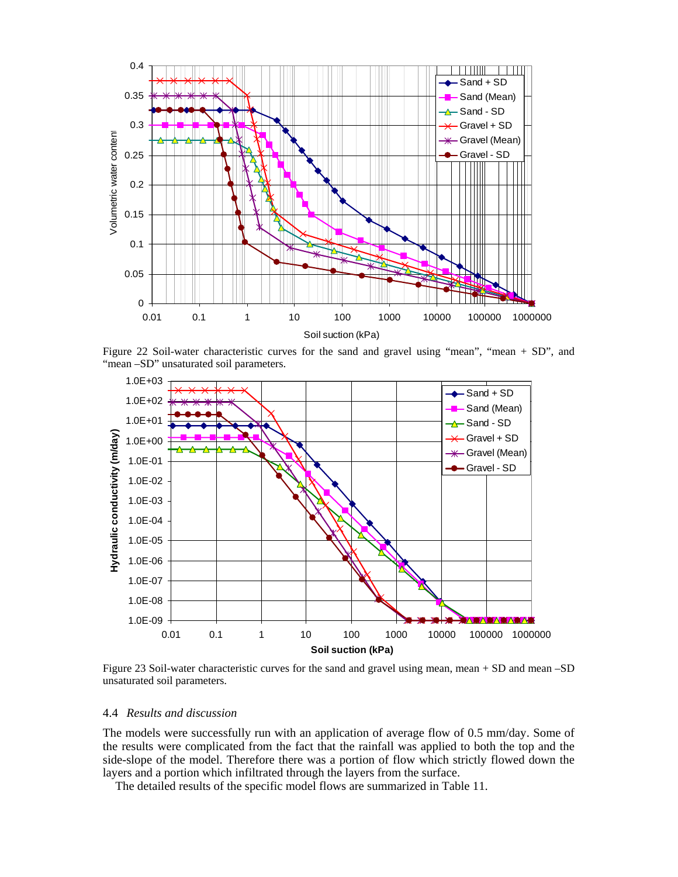

Figure 22 Soil-water characteristic curves for the sand and gravel using "mean", "mean + SD", and "mean -SD" unsaturated soil parameters.



Figure 23 Soil-water characteristic curves for the sand and gravel using mean, mean + SD and mean –SD unsaturated soil parameters.

#### 4.4 *Results and discussion*

The models were successfully run with an application of average flow of 0.5 mm/day. Some of the results were complicated from the fact that the rainfall was applied to both the top and the side-slope of the model. Therefore there was a portion of flow which strictly flowed down the layers and a portion which infiltrated through the layers from the surface.

The detailed results of the specific model flows are summarized in Table 11.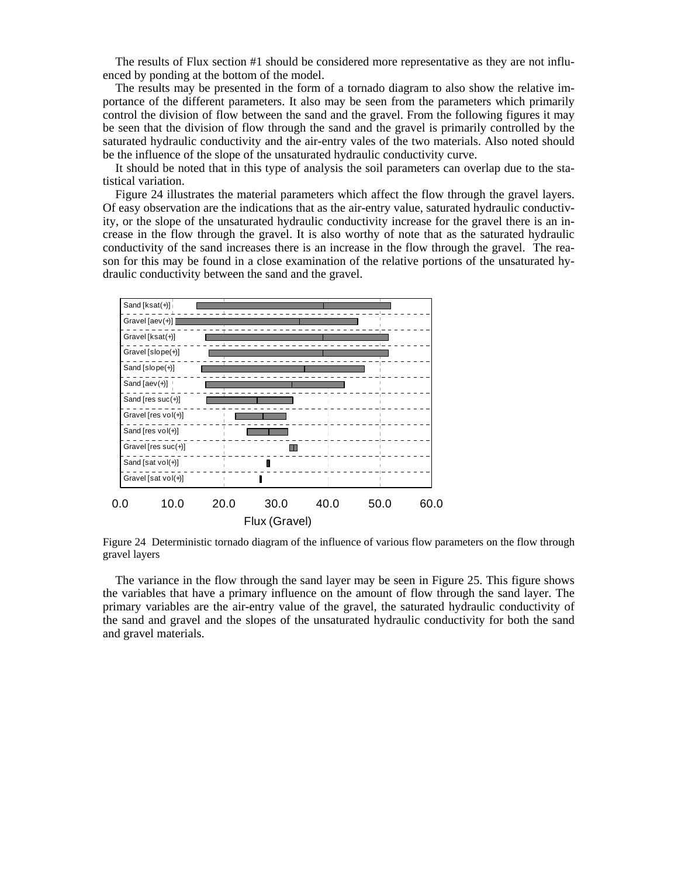The results of Flux section #1 should be considered more representative as they are not influenced by ponding at the bottom of the model.

The results may be presented in the form of a tornado diagram to also show the relative importance of the different parameters. It also may be seen from the parameters which primarily control the division of flow between the sand and the gravel. From the following figures it may be seen that the division of flow through the sand and the gravel is primarily controlled by the saturated hydraulic conductivity and the air-entry vales of the two materials. Also noted should be the influence of the slope of the unsaturated hydraulic conductivity curve.

It should be noted that in this type of analysis the soil parameters can overlap due to the statistical variation.

Figure 24 illustrates the material parameters which affect the flow through the gravel layers. Of easy observation are the indications that as the air-entry value, saturated hydraulic conductivity, or the slope of the unsaturated hydraulic conductivity increase for the gravel there is an increase in the flow through the gravel. It is also worthy of note that as the saturated hydraulic conductivity of the sand increases there is an increase in the flow through the gravel. The reason for this may be found in a close examination of the relative portions of the unsaturated hydraulic conductivity between the sand and the gravel.



Figure 24 Deterministic tornado diagram of the influence of various flow parameters on the flow through gravel layers

The variance in the flow through the sand layer may be seen in Figure 25. This figure shows the variables that have a primary influence on the amount of flow through the sand layer. The primary variables are the air-entry value of the gravel, the saturated hydraulic conductivity of the sand and gravel and the slopes of the unsaturated hydraulic conductivity for both the sand and gravel materials.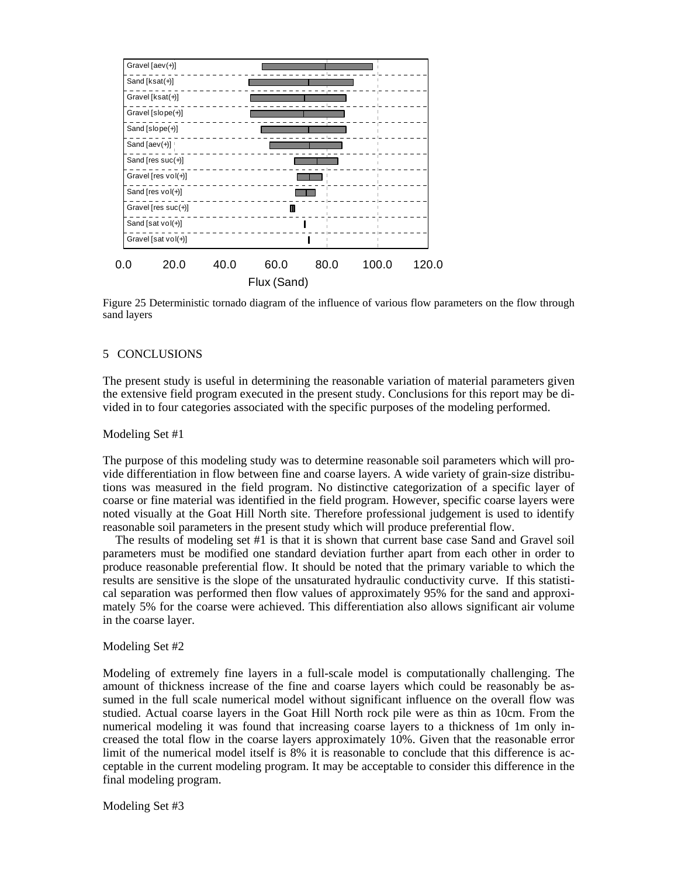![](_page_20_Figure_0.jpeg)

Figure 25 Deterministic tornado diagram of the influence of various flow parameters on the flow through sand layers

### 5 CONCLUSIONS

The present study is useful in determining the reasonable variation of material parameters given the extensive field program executed in the present study. Conclusions for this report may be divided in to four categories associated with the specific purposes of the modeling performed.

#### Modeling Set #1

The purpose of this modeling study was to determine reasonable soil parameters which will provide differentiation in flow between fine and coarse layers. A wide variety of grain-size distributions was measured in the field program. No distinctive categorization of a specific layer of coarse or fine material was identified in the field program. However, specific coarse layers were noted visually at the Goat Hill North site. Therefore professional judgement is used to identify reasonable soil parameters in the present study which will produce preferential flow.

The results of modeling set #1 is that it is shown that current base case Sand and Gravel soil parameters must be modified one standard deviation further apart from each other in order to produce reasonable preferential flow. It should be noted that the primary variable to which the results are sensitive is the slope of the unsaturated hydraulic conductivity curve. If this statistical separation was performed then flow values of approximately 95% for the sand and approximately 5% for the coarse were achieved. This differentiation also allows significant air volume in the coarse layer.

#### Modeling Set #2

Modeling of extremely fine layers in a full-scale model is computationally challenging. The amount of thickness increase of the fine and coarse layers which could be reasonably be assumed in the full scale numerical model without significant influence on the overall flow was studied. Actual coarse layers in the Goat Hill North rock pile were as thin as 10cm. From the numerical modeling it was found that increasing coarse layers to a thickness of 1m only increased the total flow in the coarse layers approximately 10%. Given that the reasonable error limit of the numerical model itself is 8% it is reasonable to conclude that this difference is acceptable in the current modeling program. It may be acceptable to consider this difference in the final modeling program.

Modeling Set #3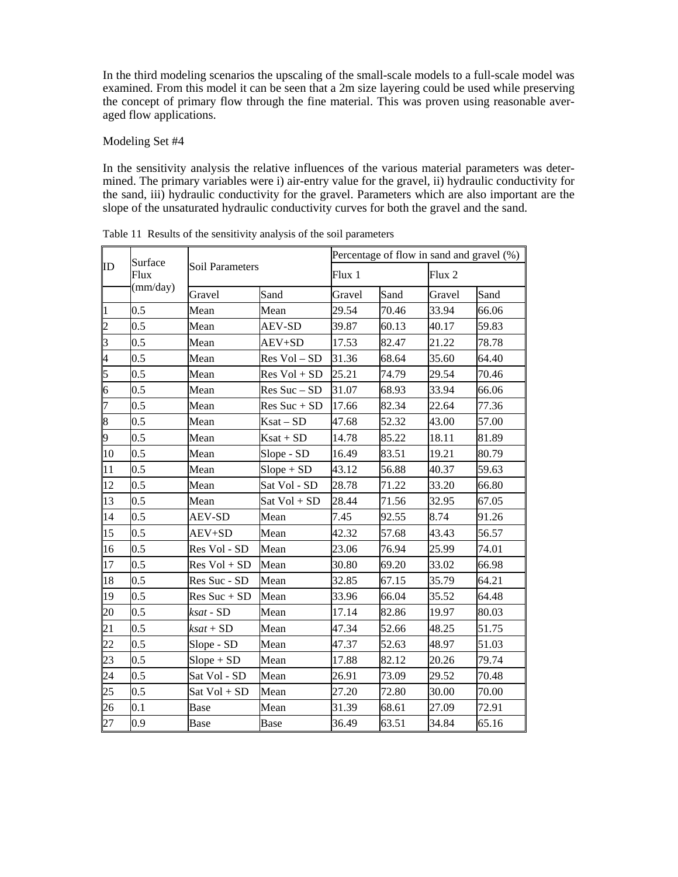In the third modeling scenarios the upscaling of the small-scale models to a full-scale model was examined. From this model it can be seen that a 2m size layering could be used while preserving the concept of primary flow through the fine material. This was proven using reasonable averaged flow applications.

Modeling Set #4

In the sensitivity analysis the relative influences of the various material parameters was determined. The primary variables were i) air-entry value for the gravel, ii) hydraulic conductivity for the sand, iii) hydraulic conductivity for the gravel. Parameters which are also important are the slope of the unsaturated hydraulic conductivity curves for both the gravel and the sand.

| ID                      | Surface<br>Flux<br>(mm/day) | <b>Soil Parameters</b> |                | Percentage of flow in sand and gravel (%) |       |        |       |
|-------------------------|-----------------------------|------------------------|----------------|-------------------------------------------|-------|--------|-------|
|                         |                             |                        |                | Flux <sub>1</sub>                         |       | Flux 2 |       |
|                         |                             | Gravel                 | Sand           | Gravel                                    | Sand  | Gravel | Sand  |
| $\vert$ 1               | 0.5                         | Mean                   | Mean           | 29.54                                     | 70.46 | 33.94  | 66.06 |
| $\overline{2}$          | 0.5                         | Mean                   | <b>AEV-SD</b>  | 39.87                                     | 60.13 | 40.17  | 59.83 |
| $\overline{\mathbf{3}}$ | 0.5                         | Mean                   | AEV+SD         | 17.53                                     | 82.47 | 21.22  | 78.78 |
| $\overline{4}$          | 0.5                         | Mean                   | Res Vol - SD   | 31.36                                     | 68.64 | 35.60  | 64.40 |
| $\overline{5}$          | 0.5                         | Mean                   | $Res Vol + SD$ | 25.21                                     | 74.79 | 29.54  | 70.46 |
| $\overline{6}$          | 0.5                         | Mean                   | $Res Suc - SD$ | 31.07                                     | 68.93 | 33.94  | 66.06 |
| $\overline{7}$          | 0.5                         | Mean                   | $Res Suc + SD$ | 17.66                                     | 82.34 | 22.64  | 77.36 |
| $\overline{\mathbf{8}}$ | 0.5                         | Mean                   | $Ksat - SD$    | 47.68                                     | 52.32 | 43.00  | 57.00 |
| þ.                      | 0.5                         | Mean                   | $Ksat + SD$    | 14.78                                     | 85.22 | 18.11  | 81.89 |
| 10                      | 0.5                         | Mean                   | Slope - SD     | 16.49                                     | 83.51 | 19.21  | 80.79 |
| 11                      | 0.5                         | Mean                   | $Slope + SD$   | 43.12                                     | 56.88 | 40.37  | 59.63 |
| 12                      | 0.5                         | Mean                   | Sat Vol - SD   | 28.78                                     | 71.22 | 33.20  | 66.80 |
| 13                      | 0.5                         | Mean                   | Sat Vol + SD   | 28.44                                     | 71.56 | 32.95  | 67.05 |
| 14                      | 0.5                         | <b>AEV-SD</b>          | Mean           | 7.45                                      | 92.55 | 8.74   | 91.26 |
| 15                      | 0.5                         | AEV+SD                 | Mean           | 42.32                                     | 57.68 | 43.43  | 56.57 |
| 16                      | 0.5                         | Res Vol - SD           | Mean           | 23.06                                     | 76.94 | 25.99  | 74.01 |
| 17                      | 0.5                         | $Res Vol + SD$         | Mean           | 30.80                                     | 69.20 | 33.02  | 66.98 |
| 18                      | 0.5                         | Res Suc - SD           | Mean           | 32.85                                     | 67.15 | 35.79  | 64.21 |
| 19                      | 0.5                         | $Res Suc + SD$         | Mean           | 33.96                                     | 66.04 | 35.52  | 64.48 |
| 20                      | 0.5                         | $ksat$ - $SD$          | Mean           | 17.14                                     | 82.86 | 19.97  | 80.03 |
| 21                      | 0.5                         | $ksat + SD$            | Mean           | 47.34                                     | 52.66 | 48.25  | 51.75 |
| $\overline{22}$         | 0.5                         | Slope - SD             | Mean           | 47.37                                     | 52.63 | 48.97  | 51.03 |
| 23                      | 0.5                         | $Slope + SD$           | Mean           | 17.88                                     | 82.12 | 20.26  | 79.74 |
| 24                      | 0.5                         | Sat Vol - SD           | Mean           | 26.91                                     | 73.09 | 29.52  | 70.48 |
| 25                      | 0.5                         | Sat Vol + SD           | Mean           | 27.20                                     | 72.80 | 30.00  | 70.00 |
| 26                      | 0.1                         | <b>Base</b>            | Mean           | 31.39                                     | 68.61 | 27.09  | 72.91 |
| 27                      | 0.9                         | Base                   | <b>Base</b>    | 36.49                                     | 63.51 | 34.84  | 65.16 |

Table 11 Results of the sensitivity analysis of the soil parameters